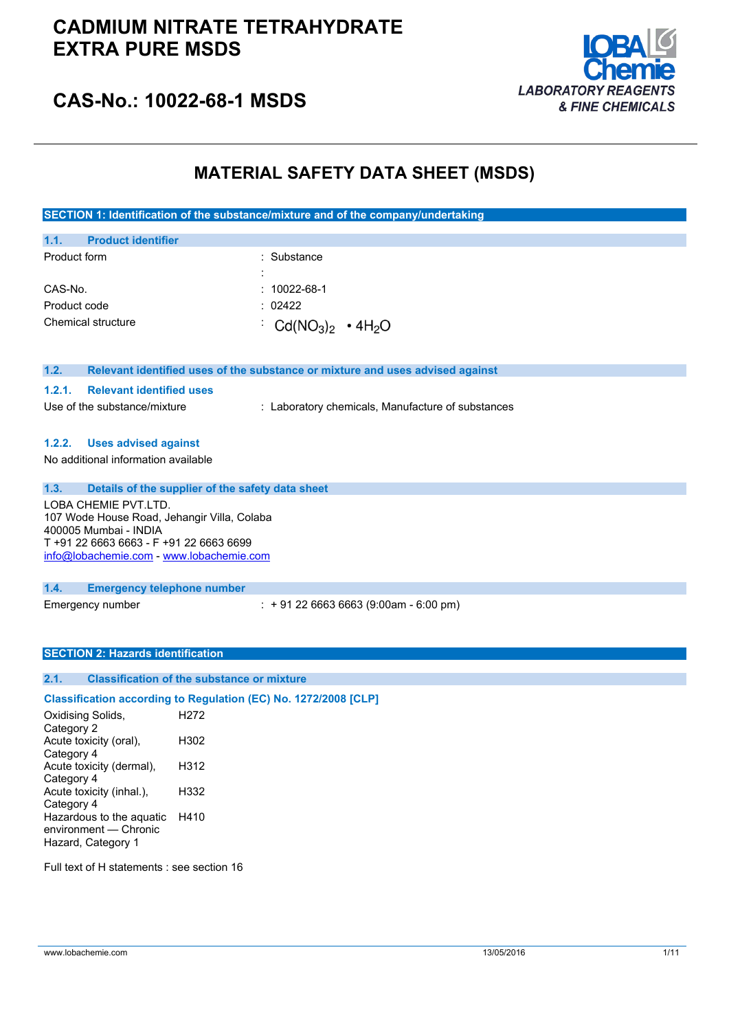## **CADMIUM NITRATE TETRAHYDRATE EXTRA PURE MSDS**



## **CAS-No.: 10022-68-1 MSDS**

## **MATERIAL SAFETY DATA SHEET (MSDS)**

**SECTION 1: Identification of the substance/mixture and of the company/undertaking**

| 1.1.         | <b>Product identifier</b> |                       |  |
|--------------|---------------------------|-----------------------|--|
| Product form |                           | : Substance           |  |
|              |                           |                       |  |
| CAS-No.      |                           | $: 10022 - 68 - 1$    |  |
| Product code |                           | : 02422               |  |
|              | Chemical structure        | $CG(NO3)2 \cdot 4H2O$ |  |

| Relevant identified uses of the substance or mixture and uses advised against<br>1.2. |
|---------------------------------------------------------------------------------------|
|---------------------------------------------------------------------------------------|

#### **1.2.1. Relevant identified uses**

Use of the substance/mixture : Laboratory chemicals, Manufacture of substances

#### **1.2.2. Uses advised against**

No additional information available

**1.3. Details of the supplier of the safety data sheet** LOBA CHEMIE PVT.LTD. 107 Wode House Road, Jehangir Villa, Colaba 400005 Mumbai - INDIA T +91 22 6663 6663 - F +91 22 6663 6699 [info@lobachemie.com](mailto:info@lobachemie.com) - <www.lobachemie.com>

**1.4. Emergency telephone number**

Emergency number : + 91 22 6663 6663 (9:00am - 6:00 pm)

#### **SECTION 2: Hazards identification**

### **2.1. Classification of the substance or mixture**

#### **Classification according to Regulation (EC) No. 1272/2008 [CLP]**

Oxidising Solids, Category 2 H272 Acute toxicity (oral), Category 4 H302 Acute toxicity (dermal), Category 4 H312 Acute toxicity (inhal.), Category 4 H332 Hazardous to the aquatic H410 environment — Chronic Hazard, Category 1

Full text of H statements : see section 16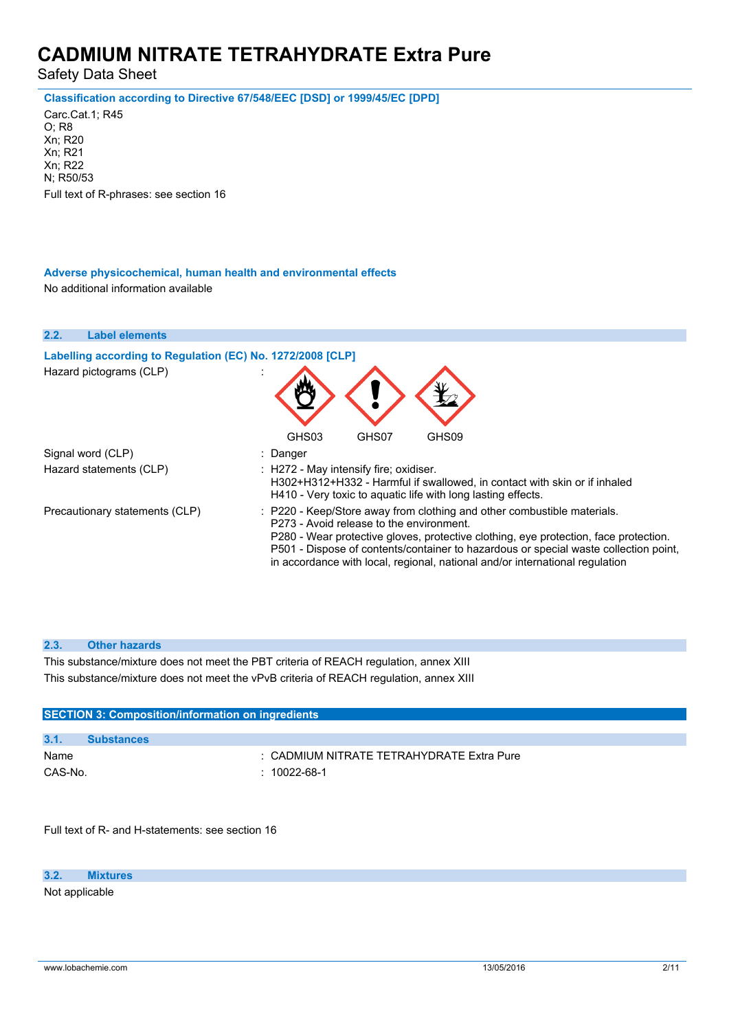Safety Data Sheet

**Classification according to Directive 67/548/EEC [DSD] or 1999/45/EC [DPD]**

Carc.Cat.1; R45 O; R8 Xn; R20 Xn; R21 Xn; R22 N; R50/53 Full text of R-phrases: see section 16

#### **Adverse physicochemical, human health and environmental effects**

No additional information available

| 2.2. | <b>Label elements</b>                                      |                                                                                                                                                                                                                                                                                                                                                                                     |
|------|------------------------------------------------------------|-------------------------------------------------------------------------------------------------------------------------------------------------------------------------------------------------------------------------------------------------------------------------------------------------------------------------------------------------------------------------------------|
|      | Labelling according to Regulation (EC) No. 1272/2008 [CLP] |                                                                                                                                                                                                                                                                                                                                                                                     |
|      | Hazard pictograms (CLP)                                    |                                                                                                                                                                                                                                                                                                                                                                                     |
|      |                                                            | GHS03<br>GHS07<br>GHS09                                                                                                                                                                                                                                                                                                                                                             |
|      | Signal word (CLP)                                          | : Danger                                                                                                                                                                                                                                                                                                                                                                            |
|      | Hazard statements (CLP)                                    | : H272 - May intensify fire; oxidiser.<br>H302+H312+H332 - Harmful if swallowed, in contact with skin or if inhaled<br>H410 - Very toxic to aquatic life with long lasting effects.                                                                                                                                                                                                 |
|      | Precautionary statements (CLP)                             | : P220 - Keep/Store away from clothing and other combustible materials.<br>P273 - Avoid release to the environment.<br>P280 - Wear protective gloves, protective clothing, eye protection, face protection.<br>P501 - Dispose of contents/container to hazardous or special waste collection point,<br>in accordance with local, regional, national and/or international regulation |

#### **2.3. Other hazards**

This substance/mixture does not meet the PBT criteria of REACH regulation, annex XIII This substance/mixture does not meet the vPvB criteria of REACH regulation, annex XIII

| <b>SECTION 3: Composition/information on ingredients</b> |                   |                                           |
|----------------------------------------------------------|-------------------|-------------------------------------------|
|                                                          |                   |                                           |
| 3.1.                                                     | <b>Substances</b> |                                           |
| Name                                                     |                   | : CADMIUM NITRATE TETRAHYDRATE Extra Pure |
| CAS-No.                                                  | $: 10022$ -68-1   |                                           |

Full text of R- and H-statements: see section 16

**3.2. Mixtures**

Not applicable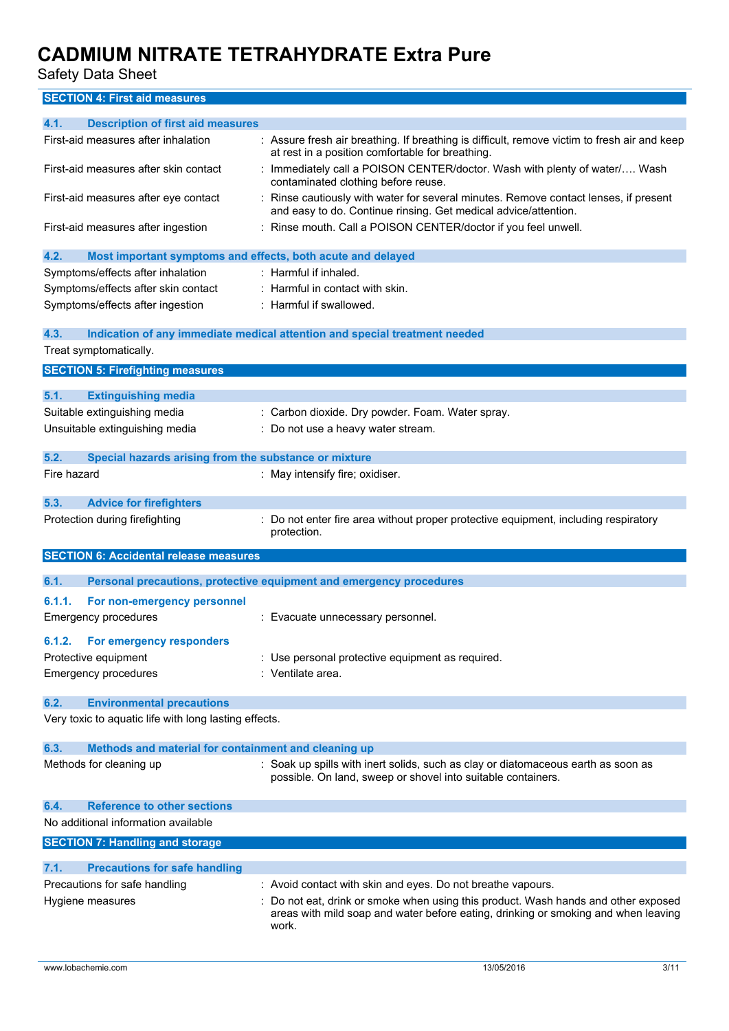Safety Data Sheet

### **SECTION 4: First aid measures**

| 4.1.<br><b>Description of first aid measures</b>                    |                                                                                                                                                       |
|---------------------------------------------------------------------|-------------------------------------------------------------------------------------------------------------------------------------------------------|
| First-aid measures after inhalation                                 | : Assure fresh air breathing. If breathing is difficult, remove victim to fresh air and keep<br>at rest in a position comfortable for breathing.      |
| First-aid measures after skin contact                               | Immediately call a POISON CENTER/doctor. Wash with plenty of water/ Wash<br>contaminated clothing before reuse.                                       |
| First-aid measures after eye contact                                | Rinse cautiously with water for several minutes. Remove contact lenses, if present<br>and easy to do. Continue rinsing. Get medical advice/attention. |
| First-aid measures after ingestion                                  | : Rinse mouth. Call a POISON CENTER/doctor if you feel unwell.                                                                                        |
| 4.2.<br>Most important symptoms and effects, both acute and delayed |                                                                                                                                                       |
| Symptoms/effects after inhalation                                   | : Harmful if inhaled.                                                                                                                                 |
| Symptoms/effects after skin contact                                 | : Harmful in contact with skin.                                                                                                                       |
| Symptoms/effects after ingestion                                    | : Harmful if swallowed.                                                                                                                               |
| 4.3.                                                                | Indication of any immediate medical attention and special treatment needed                                                                            |
| Treat symptomatically.                                              |                                                                                                                                                       |
| <b>SECTION 5: Firefighting measures</b>                             |                                                                                                                                                       |
| 5.1.<br><b>Extinguishing media</b>                                  |                                                                                                                                                       |
| Suitable extinguishing media                                        | : Carbon dioxide. Dry powder. Foam. Water spray.                                                                                                      |
| Unsuitable extinguishing media                                      | Do not use a heavy water stream.                                                                                                                      |
| 5.2.<br>Special hazards arising from the substance or mixture       |                                                                                                                                                       |
| Fire hazard                                                         | : May intensify fire; oxidiser.                                                                                                                       |
| 5.3.<br><b>Advice for firefighters</b>                              |                                                                                                                                                       |
| Protection during firefighting                                      | Do not enter fire area without proper protective equipment, including respiratory                                                                     |
|                                                                     | protection.                                                                                                                                           |
| <b>SECTION 6: Accidental release measures</b>                       |                                                                                                                                                       |
| 6.1.                                                                | Personal precautions, protective equipment and emergency procedures                                                                                   |
| 6.1.1.                                                              |                                                                                                                                                       |
| For non-emergency personnel<br><b>Emergency procedures</b>          | : Evacuate unnecessary personnel.                                                                                                                     |
| For emergency responders<br>6.1.2.                                  |                                                                                                                                                       |
| Protective equipment                                                | : Use personal protective equipment as required.                                                                                                      |
| <b>Emergency procedures</b>                                         | : Ventilate area.                                                                                                                                     |
| <b>Environmental precautions</b><br>6.2.                            |                                                                                                                                                       |
| Very toxic to aquatic life with long lasting effects.               |                                                                                                                                                       |
| 6.3.<br>Methods and material for containment and cleaning up        |                                                                                                                                                       |
| Methods for cleaning up                                             | : Soak up spills with inert solids, such as clay or diatomaceous earth as soon as<br>possible. On land, sweep or shovel into suitable containers.     |
| <b>Reference to other sections</b><br>6.4.                          |                                                                                                                                                       |
| No additional information available                                 |                                                                                                                                                       |
| <b>SECTION 7: Handling and storage</b>                              |                                                                                                                                                       |
| <b>Precautions for safe handling</b><br>7.1.                        |                                                                                                                                                       |
| Precautions for safe handling                                       | : Avoid contact with skin and eyes. Do not breathe vapours.                                                                                           |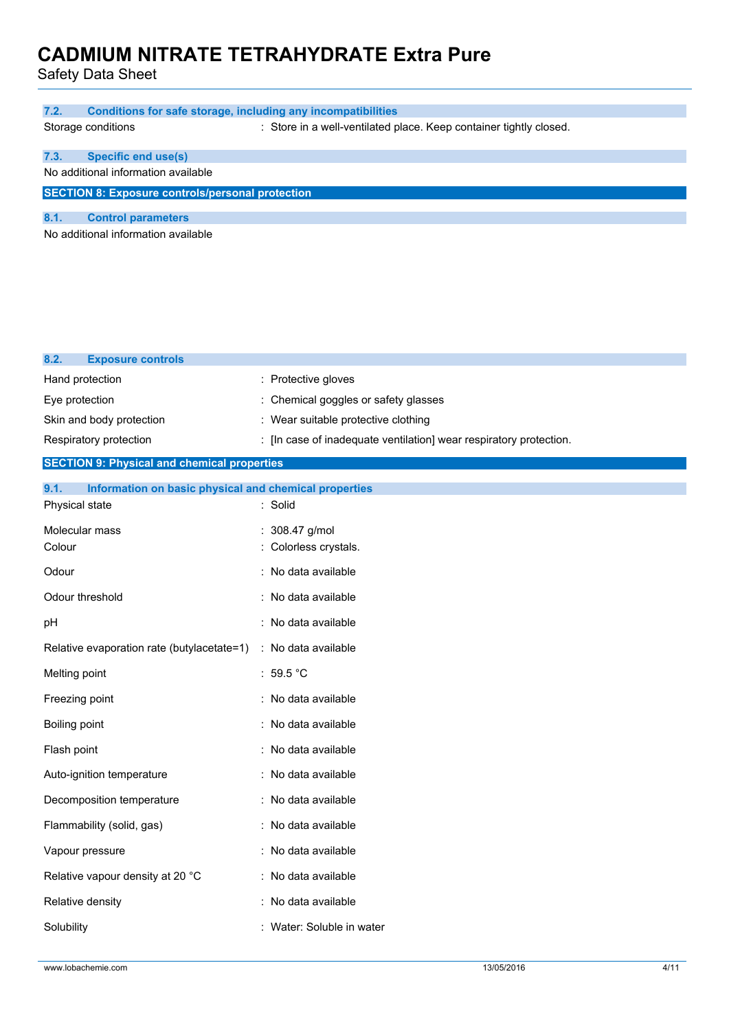| <b>Conditions for safe storage, including any incompatibilities</b><br>7.2. |                                                                    |
|-----------------------------------------------------------------------------|--------------------------------------------------------------------|
| Storage conditions                                                          | : Store in a well-ventilated place. Keep container tightly closed. |
| <b>Specific end use(s)</b><br>7.3.                                          |                                                                    |
| No additional information available                                         |                                                                    |
| <b>SECTION 8: Exposure controls/personal protection</b>                     |                                                                    |
| 8.1.<br><b>Control parameters</b>                                           |                                                                    |
| No additional information available                                         |                                                                    |
|                                                                             |                                                                    |
|                                                                             |                                                                    |
|                                                                             |                                                                    |
|                                                                             |                                                                    |
|                                                                             |                                                                    |
| 8.2.<br><b>Exposure controls</b>                                            |                                                                    |
| Hand protection                                                             | : Protective gloves                                                |
| Eye protection                                                              | : Chemical goggles or safety glasses                               |
| Skin and body protection                                                    | : Wear suitable protective clothing                                |
| Respiratory protection                                                      | : [In case of inadequate ventilation] wear respiratory protection. |
| <b>SECTION 9: Physical and chemical properties</b>                          |                                                                    |
| Information on basic physical and chemical properties<br>9.1.               |                                                                    |
| Physical state                                                              | : Solid                                                            |
| Molecular mass                                                              | : 308.47 g/mol                                                     |
| Colour                                                                      | : Colorless crystals.                                              |
| Odour                                                                       | : No data available                                                |
| Odour threshold                                                             | : No data available                                                |
| pH                                                                          | : No data available                                                |
| Relative evaporation rate (butylacetate=1)                                  | : No data available                                                |
|                                                                             |                                                                    |
|                                                                             | : 59.5 $^{\circ}$ C                                                |
|                                                                             | : No data available                                                |
|                                                                             | : No data available                                                |
| Melting point<br>Freezing point<br>Boiling point<br>Flash point             | : No data available                                                |
| Auto-ignition temperature                                                   | : No data available                                                |

Flammability (solid, gas) : No data available

Vapour pressure in the settlement of the No data available

Relative vapour density at 20 °C : No data available

Relative density **in the case of the CO** is a No data available

Solubility : Water: Soluble in water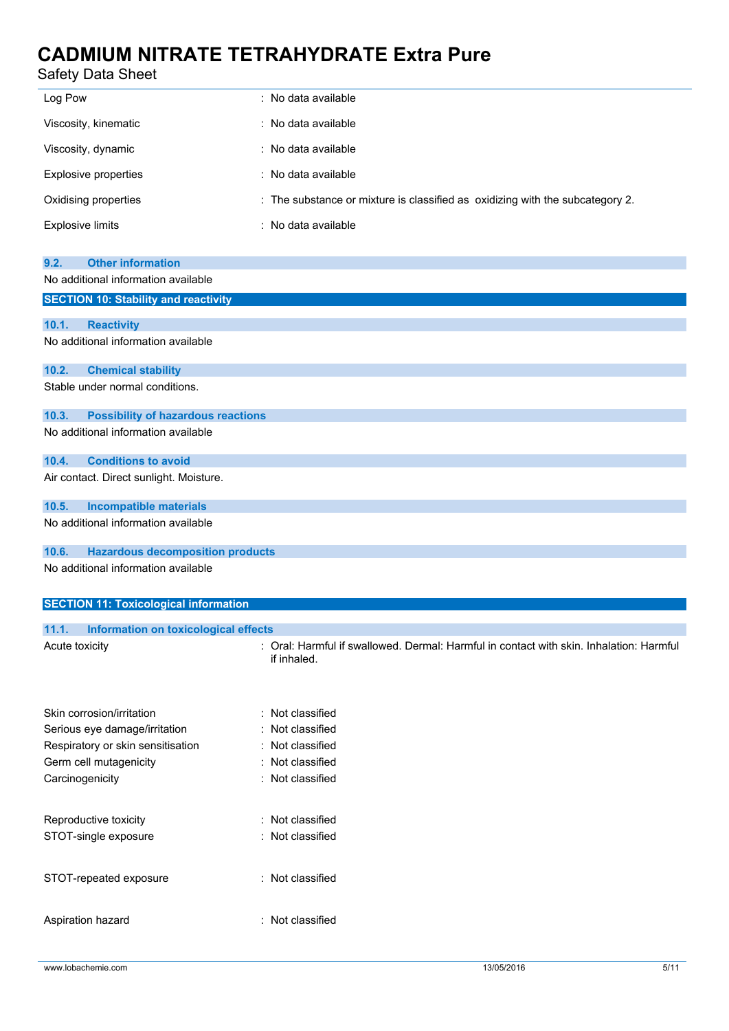## Safety Data Sheet

| Log Pow                 | : No data available                                                           |
|-------------------------|-------------------------------------------------------------------------------|
| Viscosity, kinematic    | : No data available                                                           |
| Viscosity, dynamic      | : No data available                                                           |
| Explosive properties    | : No data available                                                           |
| Oxidising properties    | : The substance or mixture is classified as oxidizing with the subcategory 2. |
| <b>Explosive limits</b> | : No data available                                                           |

| <b>Other information</b><br>9.2.                   |
|----------------------------------------------------|
| No additional information available                |
| <b>SECTION 10: Stability and reactivity</b>        |
|                                                    |
| 10.1.<br><b>Reactivity</b>                         |
| No additional information available                |
| 10.2.<br><b>Chemical stability</b>                 |
| Stable under normal conditions.                    |
| <b>Possibility of hazardous reactions</b><br>10.3. |
| No additional information available                |
| <b>Conditions to avoid</b><br>10.4.                |
| Air contact. Direct sunlight. Moisture.            |
| 10.5.<br><b>Incompatible materials</b>             |
| No additional information available                |
| <b>Hazardous decomposition products</b><br>10.6.   |
| No additional information available                |
| <b>SECTION 11: Toxicological information</b>       |

| Information on toxicological effects<br>11.1. |                                                                                                        |
|-----------------------------------------------|--------------------------------------------------------------------------------------------------------|
| Acute toxicity                                | : Oral: Harmful if swallowed. Dermal: Harmful in contact with skin. Inhalation: Harmful<br>if inhaled. |
| Skin corrosion/irritation                     | : Not classified                                                                                       |
| Serious eye damage/irritation                 | : Not classified                                                                                       |
| Respiratory or skin sensitisation             | : Not classified                                                                                       |
| Germ cell mutagenicity                        | : Not classified                                                                                       |
| Carcinogenicity                               | : Not classified                                                                                       |
| Reproductive toxicity                         | : Not classified                                                                                       |
| STOT-single exposure                          | : Not classified                                                                                       |

STOT-repeated exposure : Not classified

Aspiration hazard : Not classified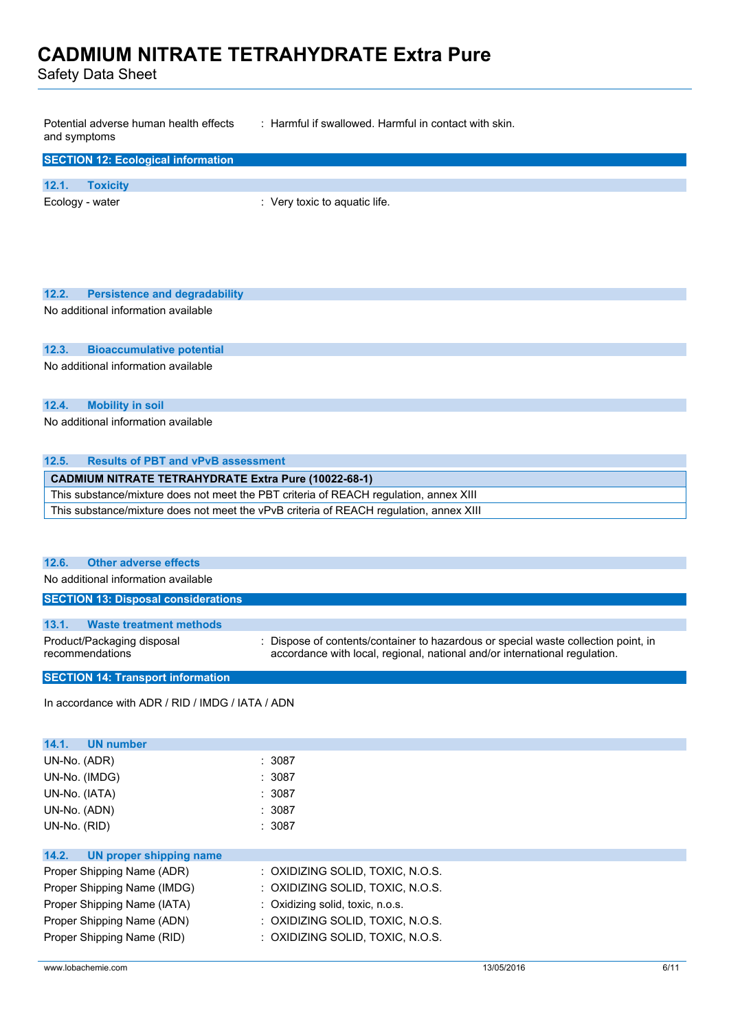Safety Data Sheet

Potential adverse human health effects and symptoms : Harmful if swallowed. Harmful in contact with skin.

| <b>SECTION 12: Ecological information</b> |                               |
|-------------------------------------------|-------------------------------|
| 12.1.<br><b>Toxicity</b>                  |                               |
| Ecology - water                           | : Very toxic to aquatic life. |

| 12.2. Persistence and degradability |
|-------------------------------------|
| No additional information available |

#### **12.3. Bioaccumulative potential**

No additional information available

#### **12.4. Mobility in soil**

No additional information available

#### **12.5. Results of PBT and vPvB assessment**

**CADMIUM NITRATE TETRAHYDRATE Extra Pure (10022-68-1)** This substance/mixture does not meet the PBT criteria of REACH regulation, annex XIII This substance/mixture does not meet the vPvB criteria of REACH regulation, annex XIII

#### **12.6. Other adverse effects**

No additional information available

| <b>SECTION 13: Disposal considerations</b>    |                                                                                                                                                                  |
|-----------------------------------------------|------------------------------------------------------------------------------------------------------------------------------------------------------------------|
| 13.1.<br>Waste treatment methods              |                                                                                                                                                                  |
| Product/Packaging disposal<br>recommendations | : Dispose of contents/container to hazardous or special waste collection point, in<br>accordance with local, regional, national and/or international regulation. |
| <b>SECTION 14: Transport information</b>      |                                                                                                                                                                  |

In accordance with ADR / RID / IMDG / IATA / ADN

| UN number<br>14.1.               |                                  |
|----------------------------------|----------------------------------|
| UN-No. (ADR)                     | : 3087                           |
| UN-No. (IMDG)                    | : 3087                           |
| UN-No. (IATA)                    | : 3087                           |
| UN-No. (ADN)                     | : 3087                           |
| UN-No. (RID)                     | : 3087                           |
|                                  |                                  |
| 14.2.<br>UN proper shipping name |                                  |
| Proper Shipping Name (ADR)       | : OXIDIZING SOLID, TOXIC, N.O.S. |
| Proper Shipping Name (IMDG)      | : OXIDIZING SOLID, TOXIC, N.O.S. |
| Proper Shipping Name (IATA)      | : Oxidizing solid, toxic, n.o.s. |
| Proper Shipping Name (ADN)       | : OXIDIZING SOLID, TOXIC, N.O.S. |
| Proper Shipping Name (RID)       | : OXIDIZING SOLID, TOXIC, N.O.S. |
|                                  |                                  |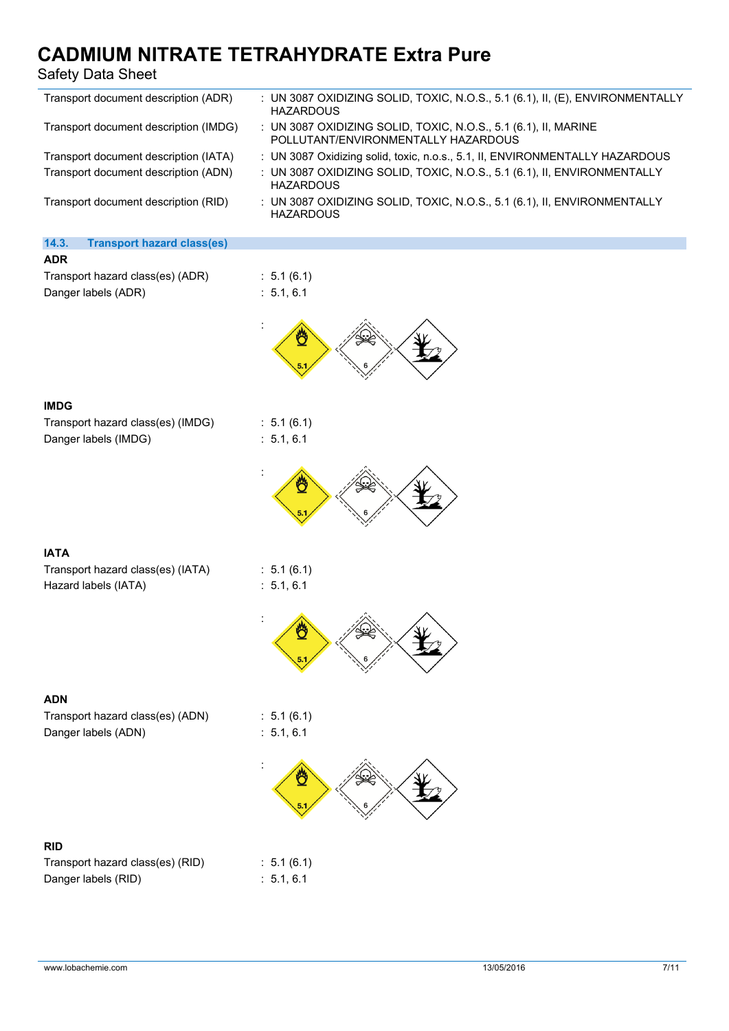### Safety Data Sheet

| Safety Data Sheet                                         |                                                                                                        |
|-----------------------------------------------------------|--------------------------------------------------------------------------------------------------------|
| Transport document description (ADR)                      | : UN 3087 OXIDIZING SOLID, TOXIC, N.O.S., 5.1 (6.1), II, (E), ENVIRONMENTALLY<br><b>HAZARDOUS</b>      |
| Transport document description (IMDG)                     | : UN 3087 OXIDIZING SOLID, TOXIC, N.O.S., 5.1 (6.1), II, MARINE<br>POLLUTANT/ENVIRONMENTALLY HAZARDOUS |
| Transport document description (IATA)                     | : UN 3087 Oxidizing solid, toxic, n.o.s., 5.1, II, ENVIRONMENTALLY HAZARDOUS                           |
| Transport document description (ADN)                      | : UN 3087 OXIDIZING SOLID, TOXIC, N.O.S., 5.1 (6.1), II, ENVIRONMENTALLY<br><b>HAZARDOUS</b>           |
| Transport document description (RID)                      | : UN 3087 OXIDIZING SOLID, TOXIC, N.O.S., 5.1 (6.1), II, ENVIRONMENTALLY<br><b>HAZARDOUS</b>           |
| 14.3.<br><b>Transport hazard class(es)</b>                |                                                                                                        |
| <b>ADR</b>                                                |                                                                                                        |
| Transport hazard class(es) (ADR)<br>Danger labels (ADR)   | : 5.1(6.1)<br>: 5.1, 6.1                                                                               |
|                                                           |                                                                                                        |
| <b>IMDG</b>                                               |                                                                                                        |
| Transport hazard class(es) (IMDG)<br>Danger labels (IMDG) | : 5.1(6.1)<br>: 5.1, 6.1                                                                               |
|                                                           |                                                                                                        |
| <b>IATA</b>                                               |                                                                                                        |
| Transport hazard class(es) (IATA)                         | : 5.1(6.1)                                                                                             |
| Hazard labels (IATA)                                      | : 5.1, 6.1                                                                                             |
|                                                           |                                                                                                        |
|                                                           |                                                                                                        |
| <b>ADN</b>                                                |                                                                                                        |
| Transport hazard class(es) (ADN)<br>Danger labels (ADN)   | : 5.1(6.1)<br>: 5.1, 6.1                                                                               |
|                                                           |                                                                                                        |
| <b>RID</b>                                                |                                                                                                        |
| Transport hazard class(es) (RID)                          | : 5.1(6.1)                                                                                             |
| Danger labels (RID)                                       | : 5.1, 6.1                                                                                             |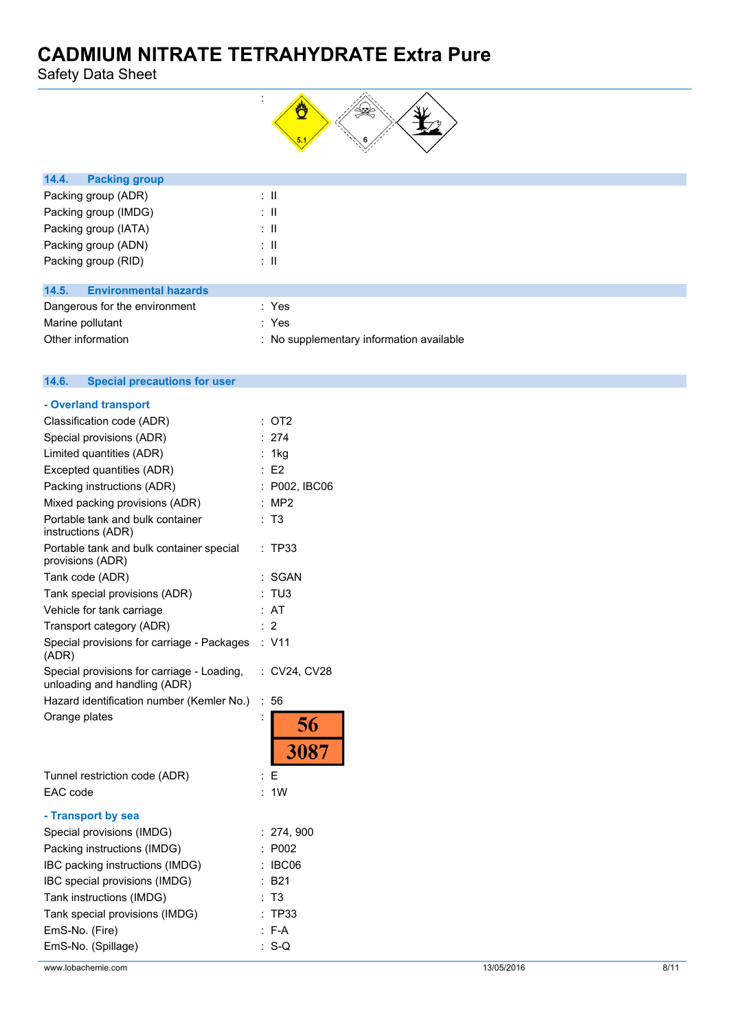Safety Data Sheet



| 14.4.<br><b>Packing group</b>         |    |  |  |
|---------------------------------------|----|--|--|
| Packing group (ADR)                   | ÷Ш |  |  |
| Packing group (IMDG)                  | ÷Ш |  |  |
| Packing group (IATA)                  | ÷Ш |  |  |
| Packing group (ADN)                   | ÷Ш |  |  |
| Packing group (RID)                   | ÷Ш |  |  |
|                                       |    |  |  |
| 14.5.<br><b>Environmental hazards</b> |    |  |  |

| Dangerous for the environment | : Yes                                    |
|-------------------------------|------------------------------------------|
| Marine pollutant              | : Yes                                    |
| Other information             | : No supplementary information available |

#### $14.6.$ **14.6. Special precautions for user**

| - Overland transport                                                       |                            |
|----------------------------------------------------------------------------|----------------------------|
| Classification code (ADR)                                                  | OT <sub>2</sub>            |
| Special provisions (ADR)                                                   | 274                        |
| Limited quantities (ADR)                                                   | 1kg                        |
| Excepted quantities (ADR)                                                  | E2<br>÷                    |
| Packing instructions (ADR)                                                 | P002, IBC06                |
| Mixed packing provisions (ADR)                                             | MP <sub>2</sub>            |
| Portable tank and bulk container<br>instructions (ADR)                     | T <sub>3</sub>             |
| Portable tank and bulk container special<br>provisions (ADR)               | TP33                       |
| Tank code (ADR)                                                            | SGAN                       |
| Tank special provisions (ADR)                                              | TU3                        |
| Vehicle for tank carriage                                                  | AT                         |
| Transport category (ADR)                                                   | $\overline{2}$             |
| Special provisions for carriage - Packages<br>(ADR)                        | : V11                      |
| Special provisions for carriage - Loading,<br>unloading and handling (ADR) | : CV24, CV28               |
| Hazard identification number (Kemler No.)                                  | ÷<br>56                    |
| Orange plates                                                              | $\ddot{\phantom{0}}$<br>56 |
|                                                                            | 3087                       |
| Tunnel restriction code (ADR)                                              | E                          |
| EAC code                                                                   | 1 <sub>W</sub>             |
| - Transport by sea                                                         |                            |
| Special provisions (IMDG)                                                  | : 274,900                  |
| Packing instructions (IMDG)                                                | P002                       |
| IBC packing instructions (IMDG)                                            | IBC06                      |
| IBC special provisions (IMDG)                                              | <b>B21</b>                 |
| Tank instructions (IMDG)                                                   | T3                         |
| Tank special provisions (IMDG)                                             | TP33                       |
| EmS-No. (Fire)                                                             | F-A                        |
| EmS-No. (Spillage)                                                         | $S-Q$                      |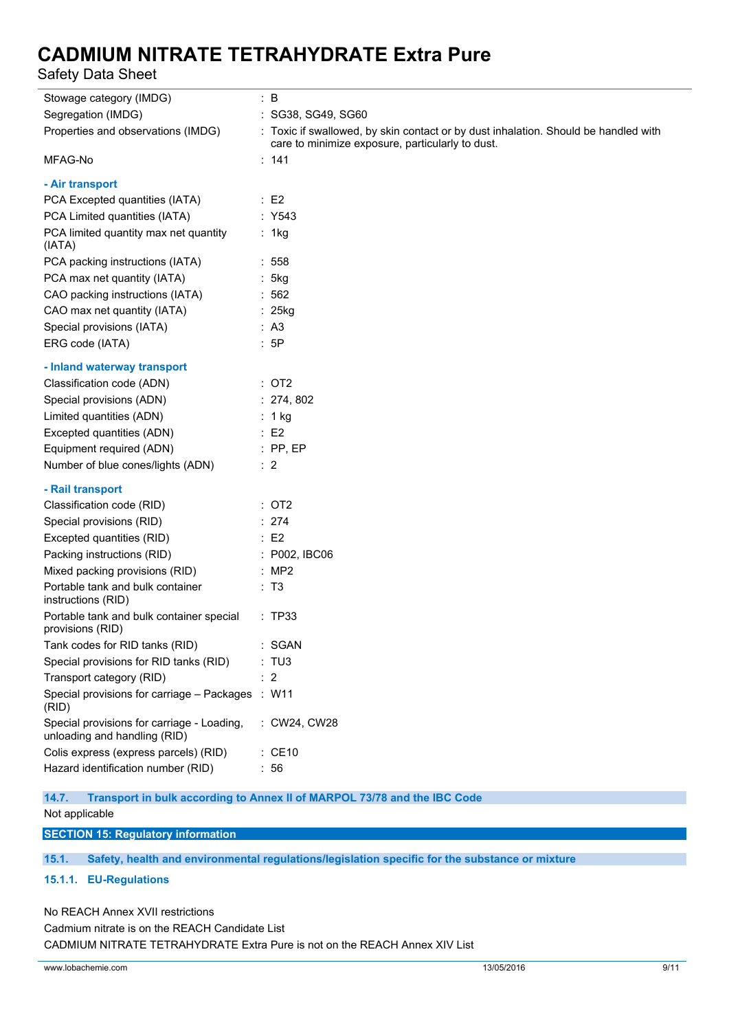Safety Data Sheet

| Stowage category (IMDG)                                                    | $\therefore$ B                                                                                                                          |
|----------------------------------------------------------------------------|-----------------------------------------------------------------------------------------------------------------------------------------|
| Segregation (IMDG)                                                         | : SG38, SG49, SG60                                                                                                                      |
| Properties and observations (IMDG)                                         | : Toxic if swallowed, by skin contact or by dust inhalation. Should be handled with<br>care to minimize exposure, particularly to dust. |
| MFAG-No                                                                    | : 141                                                                                                                                   |
| - Air transport                                                            |                                                                                                                                         |
| PCA Excepted quantities (IATA)                                             | $\therefore$ E2                                                                                                                         |
| PCA Limited quantities (IATA)                                              | : Y543                                                                                                                                  |
| PCA limited quantity max net quantity<br>(IATA)                            | : 1kg                                                                                                                                   |
| PCA packing instructions (IATA)                                            | : 558                                                                                                                                   |
| PCA max net quantity (IATA)                                                | : 5kg                                                                                                                                   |
| CAO packing instructions (IATA)                                            | :562                                                                                                                                    |
| CAO max net quantity (IATA)                                                | : 25kg                                                                                                                                  |
| Special provisions (IATA)                                                  | : A3                                                                                                                                    |
| ERG code (IATA)                                                            | :5P                                                                                                                                     |
| - Inland waterway transport                                                |                                                                                                                                         |
| Classification code (ADN)                                                  | : OT2                                                                                                                                   |
| Special provisions (ADN)                                                   | : 274, 802                                                                                                                              |
| Limited quantities (ADN)                                                   | $: 1$ kg                                                                                                                                |
| Excepted quantities (ADN)                                                  | $\therefore$ E2                                                                                                                         |
| Equipment required (ADN)<br>$\mathbb{R}^2$ . PP, EP                        |                                                                                                                                         |
| Number of blue cones/lights (ADN)                                          | $\therefore$ 2                                                                                                                          |
| - Rail transport                                                           |                                                                                                                                         |
| Classification code (RID)                                                  | : OT2                                                                                                                                   |
| Special provisions (RID)                                                   | : 274                                                                                                                                   |
| Excepted quantities (RID)                                                  | $\therefore$ E2                                                                                                                         |
| Packing instructions (RID)                                                 | : P002, IBC06                                                                                                                           |
| Mixed packing provisions (RID)                                             | : MP2                                                                                                                                   |
| Portable tank and bulk container<br>instructions (RID)                     | : T3                                                                                                                                    |
| Portable tank and bulk container special<br>provisions (RID)               | : TP33                                                                                                                                  |
| Tank codes for RID tanks (RID)                                             | <b>SGAN</b>                                                                                                                             |
| Special provisions for RID tanks (RID)                                     | : TU3                                                                                                                                   |
| Transport category (RID)                                                   | : 2                                                                                                                                     |
| Special provisions for carriage - Packages<br>(RID)                        | $:$ W11                                                                                                                                 |
| Special provisions for carriage - Loading,<br>unloading and handling (RID) | : CW24, CW28                                                                                                                            |
| Colis express (express parcels) (RID)                                      | $\therefore$ CE10                                                                                                                       |
| Hazard identification number (RID)                                         | : 56                                                                                                                                    |

**14.7. Transport in bulk according to Annex II of MARPOL 73/78 and the IBC Code**

Not applicable

**SECTION 15: Regulatory information**

**15.1. Safety, health and environmental regulations/legislation specific for the substance or mixture**

#### **15.1.1. EU-Regulations**

No REACH Annex XVII restrictions Cadmium nitrate is on the REACH Candidate List CADMIUM NITRATE TETRAHYDRATE Extra Pure is not on the REACH Annex XIV List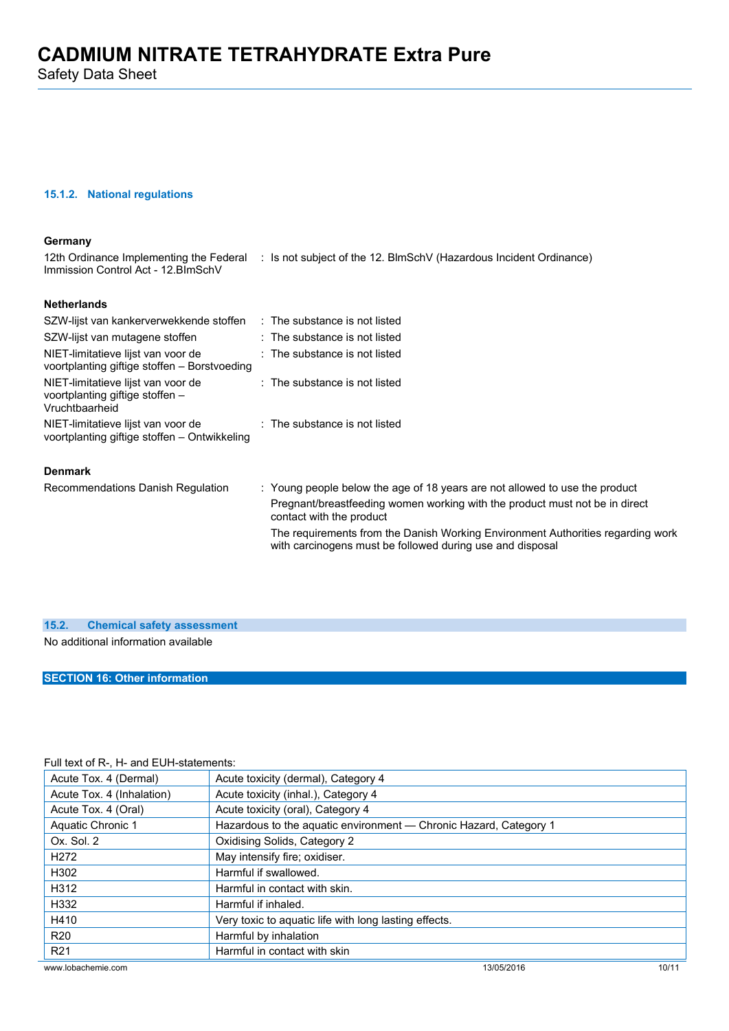#### **15.1.2. National regulations**

#### **Germany**

12th Ordinance Implementing the Federal : Is not subject of the 12. BlmSchV (Hazardous Incident Ordinance) Immission Control Act - 12.BImSchV

### **Netherlands**

| SZW-lijst van kankerverwekkende stoffen                                                 | $\therefore$ The substance is not listed |                                                                                                                         |
|-----------------------------------------------------------------------------------------|------------------------------------------|-------------------------------------------------------------------------------------------------------------------------|
| SZW-lijst van mutagene stoffen                                                          | $:$ The substance is not listed          |                                                                                                                         |
| NIET-limitatieve lijst van voor de<br>voortplanting giftige stoffen – Borstvoeding      | $\therefore$ The substance is not listed |                                                                                                                         |
| NIET-limitatieve lijst van voor de<br>voortplanting giftige stoffen -<br>Vruchtbaarheid | $:$ The substance is not listed          |                                                                                                                         |
| NIET-limitatieve lijst van voor de<br>voortplanting giftige stoffen - Ontwikkeling      | $\therefore$ The substance is not listed |                                                                                                                         |
| <b>Denmark</b>                                                                          |                                          |                                                                                                                         |
|                                                                                         |                                          | $\mathbf{M}$ . The second that the contract of $\mathbf{A} \mathbf{O}$ is a contract of the contract of the contract of |

Recommendations Danish Regulation : Young people below the age of 18 years are not allowed to use the product Pregnant/breastfeeding women working with the product must not be in direct contact with the product The requirements from the Danish Working Environment Authorities regarding work with carcinogens must be followed during use and disposal

| 15.2. Chemical safety assessment    |
|-------------------------------------|
| No additional information available |
|                                     |

### **SECTION 16: Other information**

#### Full text of R-, H- and EUH-statements:

| Acute Tox. 4 (Dermal)     | Acute toxicity (dermal), Category 4                               |       |  |
|---------------------------|-------------------------------------------------------------------|-------|--|
| Acute Tox. 4 (Inhalation) | Acute toxicity (inhal.), Category 4                               |       |  |
| Acute Tox. 4 (Oral)       | Acute toxicity (oral), Category 4                                 |       |  |
| Aquatic Chronic 1         | Hazardous to the aquatic environment - Chronic Hazard, Category 1 |       |  |
| Ox. Sol. 2                | Oxidising Solids, Category 2                                      |       |  |
| H <sub>272</sub>          | May intensify fire; oxidiser.                                     |       |  |
| H302                      | Harmful if swallowed.                                             |       |  |
| H312                      | Harmful in contact with skin.                                     |       |  |
| H332                      | Harmful if inhaled.                                               |       |  |
| H410                      | Very toxic to aquatic life with long lasting effects.             |       |  |
| <b>R20</b>                | Harmful by inhalation                                             |       |  |
| R <sub>21</sub>           | Harmful in contact with skin                                      |       |  |
| www.lobachemie.com        | 13/05/2016                                                        | 10/11 |  |